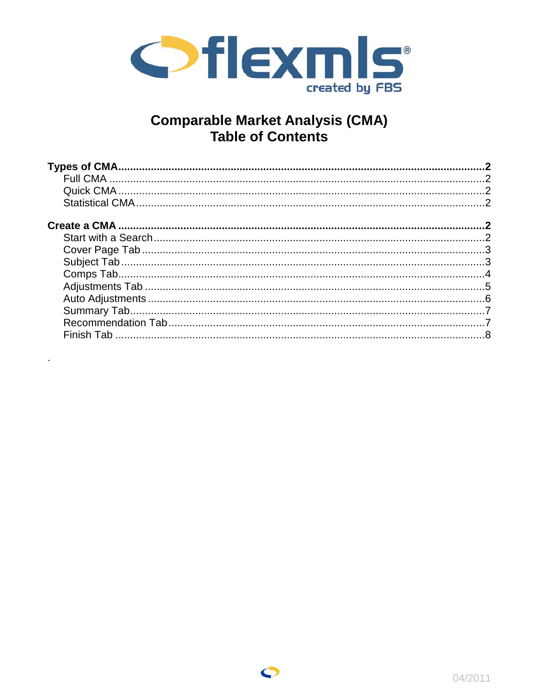

# **Comparable Market Analysis (CMA)**<br>Table of Contents

l,



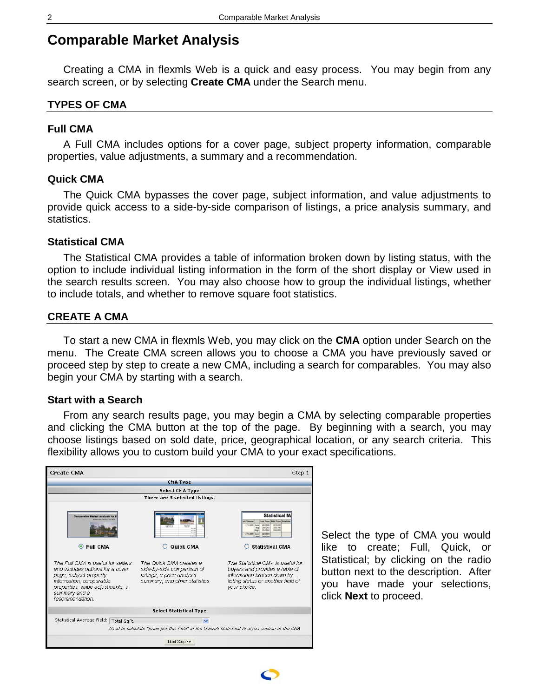# <span id="page-1-0"></span>**Comparable Market Analysis**

Creating a CMA in flexmls Web is a quick and easy process. You may begin from any search screen, or by selecting **Create CMA** under the Search menu.

#### **TYPES OF CMA**

#### **Full CMA**

A Full CMA includes options for a cover page, subject property information, comparable properties, value adjustments, a summary and a recommendation.

# **Quick CMA**

The Quick CMA bypasses the cover page, subject information, and value adjustments to provide quick access to a side-by-side comparison of listings, a price analysis summary, and statistics.

#### **Statistical CMA**

The Statistical CMA provides a table of information broken down by listing status, with the option to include individual listing information in the form of the short display or View used in the search results screen. You may also choose how to group the individual listings, whether to include totals, and whether to remove square foot statistics.

#### **CREATE A CMA**

To start a new CMA in flexmls Web, you may click on the **CMA** option under Search on the menu. The Create CMA screen allows you to choose a CMA you have previously saved or proceed step by step to create a new CMA, including a search for comparables. You may also begin your CMA by starting with a search.

### **Start with a Search**

From any search results page, you may begin a CMA by selecting comparable properties and clicking the CMA button at the top of the page. By beginning with a search, you may choose listings based on sold date, price, geographical location, or any search criteria. This flexibility allows you to custom build your CMA to your exact specifications.



Select the type of CMA you would like to create; Full, Quick, or Statistical; by clicking on the radio button next to the description. After you have made your selections, click **Next** to proceed.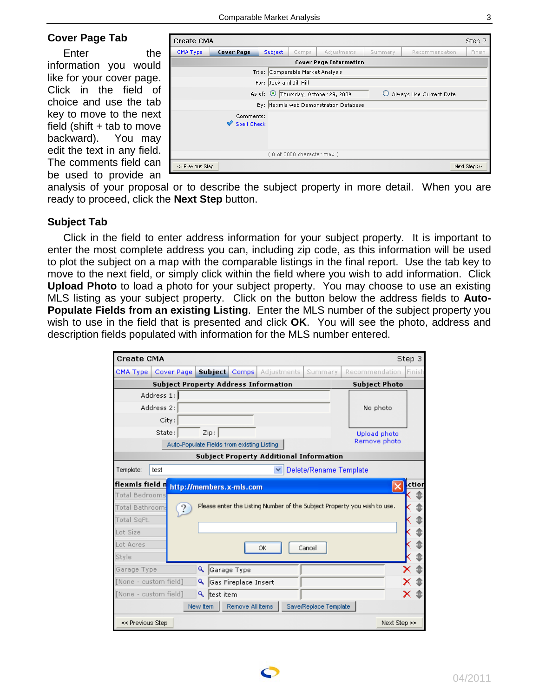#### <span id="page-2-0"></span>**Cover Page Tab**

Enter the information you would like for your cover page. Click in the field of choice and use the tab key to move to the next field (shift  $+$  tab to move backward). You may edit the text in any field. The comments field can be used to provide an

| Create CMA       |                          |                                   |                                                                     |                                        |  |  | Step 2       |  |  |  |
|------------------|--------------------------|-----------------------------------|---------------------------------------------------------------------|----------------------------------------|--|--|--------------|--|--|--|
| CMA Type         | <b>Cover Page</b>        | Subject                           | Finish<br>Adjustments<br>Recommendation<br>Comps<br>Summary         |                                        |  |  |              |  |  |  |
|                  |                          |                                   |                                                                     | <b>Cover Page Information</b>          |  |  |              |  |  |  |
|                  |                          | Title: Comparable Market Analysis |                                                                     |                                        |  |  |              |  |  |  |
|                  |                          | For: Jack and Jill Hill           |                                                                     |                                        |  |  |              |  |  |  |
|                  |                          |                                   | As of: © Thursday, October 29, 2009<br>O<br>Always Use Current Date |                                        |  |  |              |  |  |  |
|                  |                          |                                   |                                                                     | By: flexmls web Demonstration Database |  |  |              |  |  |  |
|                  | Comments:<br>Spell Check |                                   |                                                                     |                                        |  |  |              |  |  |  |
|                  |                          |                                   | (0 of 3000 character max)                                           |                                        |  |  |              |  |  |  |
| << Previous Step |                          |                                   |                                                                     |                                        |  |  | Next Step >> |  |  |  |

analysis of your proposal or to describe the subject property in more detail. When you are ready to proceed, click the **Next Step** button.

#### **Subject Tab**

Click in the field to enter address information for your subject property. It is important to enter the most complete address you can, including zip code, as this information will be used to plot the subject on a map with the comparable listings in the final report. Use the tab key to move to the next field, or simply click within the field where you wish to add information. Click **Upload Photo** to load a photo for your subject property. You may choose to use an existing MLS listing as your subject property. Click on the button below the address fields to **Auto-Populate Fields from an existing Listing**. Enter the MLS number of the subject property you wish to use in the field that is presented and click **OK**. You will see the photo, address and description fields populated with information for the MLS number entered.

| <b>Create CMA</b>     |            |            |                |           |                                             |    |             |                                                |                                                                          |              | Step 3 |
|-----------------------|------------|------------|----------------|-----------|---------------------------------------------|----|-------------|------------------------------------------------|--------------------------------------------------------------------------|--------------|--------|
| CMA Type              |            | Cover Page | <b>Subject</b> |           | <b>Comps</b>                                |    | Adjustments | Summary                                        | Recommendation                                                           |              | Einish |
|                       |            |            |                |           | <b>Subject Property Address Information</b> |    |             |                                                | <b>Subject Photo</b>                                                     |              |        |
|                       | Address 1: |            |                |           |                                             |    |             |                                                |                                                                          |              |        |
|                       | Address 2: |            |                |           |                                             |    |             |                                                | No photo                                                                 |              |        |
|                       | City:      |            |                |           |                                             |    |             |                                                |                                                                          |              |        |
|                       | State:     |            | Zip:           |           |                                             |    |             |                                                | Upload photo                                                             |              |        |
|                       |            |            |                |           | Auto-Populate Fields from existing Listing  |    |             |                                                | Remove photo                                                             |              |        |
|                       |            |            |                |           |                                             |    |             | <b>Subject Property Additional Information</b> |                                                                          |              |        |
| Template:             | test       |            |                |           |                                             | v  |             | Delete/Rename Template                         |                                                                          |              |        |
| flexmis field n       |            |            |                |           | http://members.x-mls.com                    |    |             |                                                |                                                                          |              | ction  |
| <b>Total Bedrooms</b> |            |            |                |           |                                             |    |             |                                                |                                                                          |              |        |
| Total Bathroom:       |            |            |                |           |                                             |    |             |                                                | Please enter the Listing Number of the Subject Property you wish to use. |              |        |
| Total SgFt.           |            |            |                |           |                                             |    |             |                                                |                                                                          |              |        |
| Lot Size              |            |            |                |           |                                             |    |             |                                                |                                                                          |              |        |
| Lot Acres             |            |            |                |           |                                             | ОК |             | Cancel                                         |                                                                          |              |        |
| Style                 |            |            |                |           |                                             |    |             |                                                |                                                                          |              |        |
| Garage Type           |            |            | Q              |           | Garage Type                                 |    |             |                                                |                                                                          |              |        |
| [None - custom field] |            |            | ۹              |           | Gas Fireplace Insert                        |    |             |                                                |                                                                          |              |        |
| [None - custom field] |            |            | ۹              | test item |                                             |    |             |                                                |                                                                          |              |        |
|                       |            |            | New Item       |           | Remove All Items                            |    |             | Save/Replace Template                          |                                                                          |              |        |
| << Previous Step      |            |            |                |           |                                             |    |             |                                                |                                                                          | Next Step >> |        |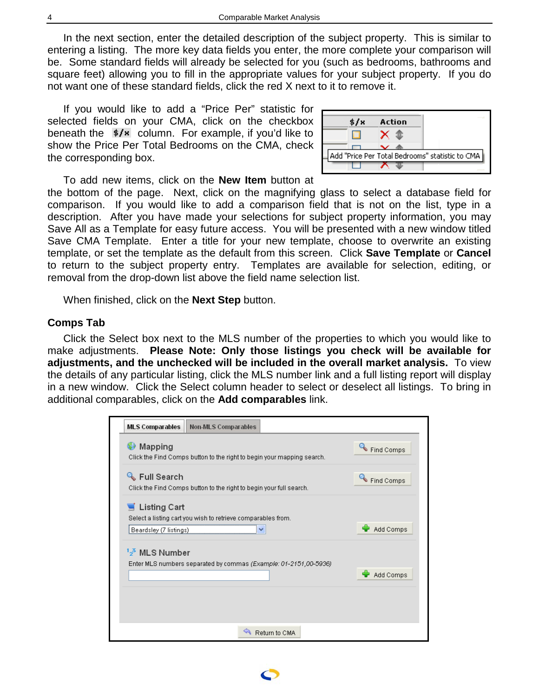In the next section, enter the detailed description of the subject property. This is similar to entering a listing. The more key data fields you enter, the more complete your comparison will be. Some standard fields will already be selected for you (such as bedrooms, bathrooms and square feet) allowing you to fill in the appropriate values for your subject property. If you do not want one of these standard fields, click the red X next to it to remove it.

If you would like to add a "Price Per" statistic for selected fields on your CMA, click on the checkbox beneath the  $\frac{1}{2}$  column. For example, if you'd like to show the Price Per Total Bedrooms on the CMA, check the corresponding box.



To add new items, click on the **New Item** button at

the bottom of the page. Next, click on the magnifying glass to select a database field for comparison. If you would like to add a comparison field that is not on the list, type in a description. After you have made your selections for subject property information, you may Save All as a Template for easy future access. You will be presented with a new window titled Save CMA Template. Enter a title for your new template, choose to overwrite an existing template, or set the template as the default from this screen. Click **Save Template** or **Cancel** to return to the subject property entry. Templates are available for selection, editing, or removal from the drop-down list above the field name selection list.

When finished, click on the **Next Step** button.

# **Comps Tab**

Click the Select box next to the MLS number of the properties to which you would like to make adjustments. **Please Note: Only those listings you check will be available for adjustments, and the unchecked will be included in the overall market analysis.** To view the details of any particular listing, click the MLS number link and a full listing report will display in a new window. Click the Select column header to select or deselect all listings. To bring in additional comparables, click on the **Add comparables** link.



<span id="page-3-0"></span>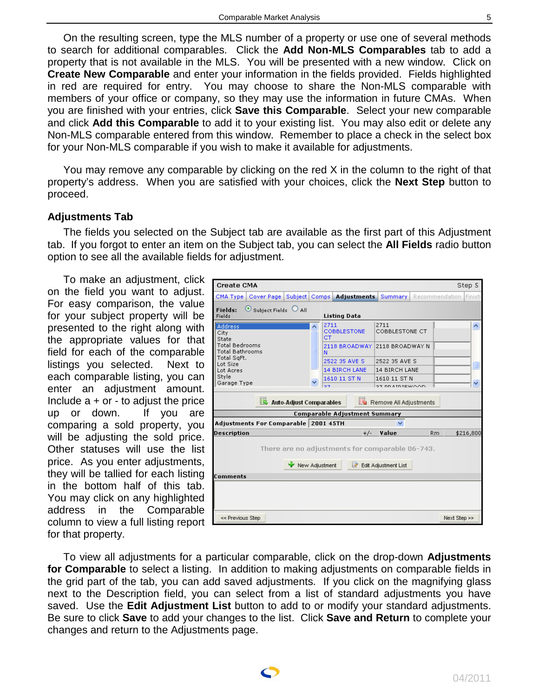<span id="page-4-0"></span>On the resulting screen, type the MLS number of a property or use one of several methods to search for additional comparables. Click the **Add Non-MLS Comparables** tab to add a property that is not available in the MLS. You will be presented with a new window. Click on **Create New Comparable** and enter your information in the fields provided. Fields highlighted in red are required for entry. You may choose to share the Non-MLS comparable with members of your office or company, so they may use the information in future CMAs. When you are finished with your entries, click **Save this Comparable**. Select your new comparable and click **Add this Comparable** to add it to your existing list. You may also edit or delete any Non-MLS comparable entered from this window. Remember to place a check in the select box for your Non-MLS comparable if you wish to make it available for adjustments.

You may remove any comparable by clicking on the red X in the column to the right of that property's address. When you are satisfied with your choices, click the **Next Step** button to proceed.

# **Adjustments Tab**

The fields you selected on the Subject tab are available as the first part of this Adjustment tab. If you forgot to enter an item on the Subject tab, you can select the **All Fields** radio button option to see all the available fields for adjustment.

To make an adjustment, click on the field you want to adjust. For easy comparison, the value for your subject property will be presented to the right along with the appropriate values for that field for each of the comparable listings you selected. Next to each comparable listing, you can enter an adjustment amount. Include  $a + or - to$  adjust the price up or down. If you are comparing a sold property, you will be adjusting the sold price. Other statuses will use the list price. As you enter adjustments, they will be tallied for each listing in the bottom half of this tab. You may click on any highlighted address in the Comparable column to view a full listing report for that property.

| <b>Create CMA</b>                                                     |                                      |                         |                |                                                 |                                                  |                | Step 5       |
|-----------------------------------------------------------------------|--------------------------------------|-------------------------|----------------|-------------------------------------------------|--------------------------------------------------|----------------|--------------|
| CMA Type                                                              | Cover Page Subject                   |                         | Comps          | <b>Adjustments</b>                              | Summary                                          | Recommendation | Finish       |
| Fields:<br>Fields                                                     | $\bullet$ Subject Fields $\circ$ All |                         |                | <b>Listing Data</b>                             |                                                  |                |              |
| <b>Address</b><br>City<br>State<br><b>Total Bedrooms</b>              |                                      |                         | CT.            | 2711<br><b>COBBLESTONE</b><br>2118 BROADWAY     | 2711<br><b>COBBLESTONE CT</b><br>2118 BROADWAY N |                | ᄉ            |
| <b>Total Bathrooms</b><br>Total SgFt.<br>Lot Size<br><b>Lot Acres</b> |                                      |                         | N              | 2522 35 AVE S<br><b>14 BIRCH LANE</b>           | 2522 35 AVE S<br><b>14 BIRCH LANE</b>            |                | E            |
| Style<br>Garage Type                                                  |                                      |                         | 67             | 1610 11 ST N                                    | 1610 11 ST N<br>27 BB ATRIEWOOD.                 |                | $\ddotmark$  |
|                                                                       |                                      | Auto-Adjust Comparables |                |                                                 | Remove All Adjustments                           |                |              |
|                                                                       | Adjustments For Comparable 2001 45TH |                         |                | <b>Comparable Adjustment Summary</b>            |                                                  |                |              |
| Description                                                           |                                      |                         |                | $+/-$                                           | Value                                            | <b>Rm</b>      | \$216,800    |
| Comments                                                              |                                      |                         | New Adjustment | There are no adjustments for comparable 06-743. | <b>Z</b> Edit Adjustment List                    |                |              |
|                                                                       |                                      |                         |                |                                                 |                                                  |                |              |
| << Previous Step                                                      |                                      |                         |                |                                                 |                                                  |                | Next Step >> |

To view all adjustments for a particular comparable, click on the drop-down **Adjustments for Comparable** to select a listing. In addition to making adjustments on comparable fields in the grid part of the tab, you can add saved adjustments. If you click on the magnifying glass next to the Description field, you can select from a list of standard adjustments you have saved. Use the **Edit Adjustment List** button to add to or modify your standard adjustments. Be sure to click **Save** to add your changes to the list. Click **Save and Return** to complete your changes and return to the Adjustments page.

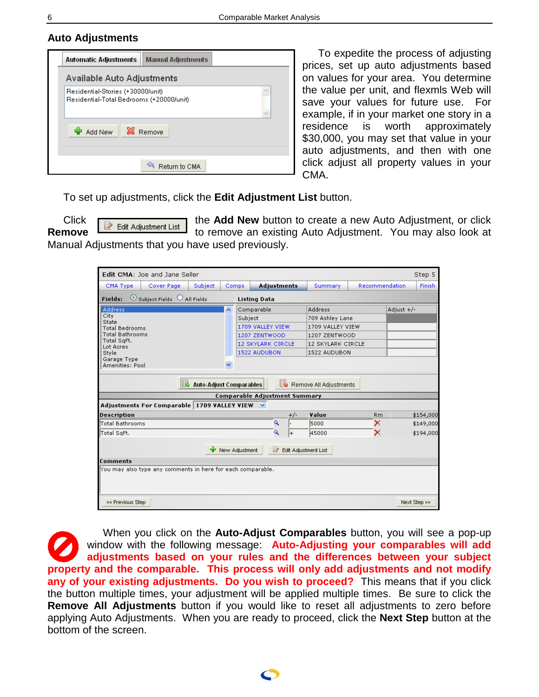# <span id="page-5-0"></span>**Auto Adjustments**

| <b>Automatic Adjustments</b><br><b>Manual Adjustments</b>                     |
|-------------------------------------------------------------------------------|
| Available Auto Adjustments                                                    |
| Residential-Stories (+30000/unit)<br>Residential-Total Bedrooms (+20000/unit) |
| <b>X</b> Remove<br>Add New                                                    |
| Return to CMA                                                                 |

To expedite the process of adjusting prices, set up auto adjustments based on values for your area. You determine the value per unit, and flexmls Web will save your values for future use. For example, if in your market one story in a residence is worth approximately \$30,000, you may set that value in your auto adjustments, and then with one click adjust all property values in your CMA.

To set up adjustments, click the **Edit Adjustment List** button.

Click  $\begin{array}{|l|l|}\n\hline\n\end{array}$  Equit Adjustment List the **Add New** button to create a new Auto Adjustment, or click **Remove Remove Remove Examplement List** to remove an existing Auto Adjustment. You may also look at Manual Adjustments that you have used previously.

| Edit CMA: Joe and Jane Seller                               |            |                         |                          |         |                                      |       |                        |                |            | Step 5        |
|-------------------------------------------------------------|------------|-------------------------|--------------------------|---------|--------------------------------------|-------|------------------------|----------------|------------|---------------|
| CMA Type                                                    | Cover Page | <b>Subject</b>          | <b>Comps</b>             |         | <b>Adjustments</b>                   |       | <b>Summary</b>         | Recommendation |            | <b>Finish</b> |
| $\odot$ Subject Fields $\odot$ All Fields<br>Fields:        |            |                         |                          |         | <b>Listing Data</b>                  |       |                        |                |            |               |
| <b>Address</b>                                              |            |                         | $\overline{\phantom{a}}$ |         | Comparable                           |       | Address                |                | Adjust +/- |               |
| City<br>State                                               |            |                         |                          | Subject |                                      |       | 709 Ashley Lane        |                |            |               |
| <b>Total Bedrooms</b>                                       |            |                         |                          |         | 1709 VALLEY VIEW                     |       | 1709 VALLEY VIEW       |                |            |               |
| Total Bathrooms                                             |            |                         |                          |         | 1207 ZENTWOOD                        |       | 1207 ZENTWOOD          |                |            |               |
| Total SqFt.<br>Lot Acres                                    |            |                         |                          |         | <b>12 SKYLARK CIRCLE</b>             |       | 12 SKYLARK CIRCLE      |                |            |               |
| Style                                                       |            |                         |                          |         | 1522 AUDUBON                         |       | 1522 AUDUBON           |                |            |               |
| Garage Type<br>Amenities: Pool                              |            |                         | v                        |         |                                      |       |                        |                |            |               |
|                                                             |            | Auto-Adjust Comparables |                          |         |                                      |       | Remove All Adjustments |                |            |               |
|                                                             |            |                         |                          |         | <b>Comparable Adjustment Summary</b> |       |                        |                |            |               |
| Adjustments For Comparable   1709 VALLEY VIEW V             |            |                         |                          |         |                                      |       |                        |                |            |               |
| <b>Description</b>                                          |            |                         |                          |         |                                      | $+/-$ | Value                  | <b>Rm</b>      |            | \$154,000     |
| Total Bathrooms                                             |            |                         |                          |         | Q                                    |       | 5000                   | ×              |            | \$149,000     |
| Total SqFt.                                                 |            |                         |                          |         | Q                                    | l+    | 45000                  | ×              |            | \$194,000     |
|                                                             |            |                         | New Adjustment           |         | $\overline{\mathscr{U}}$             |       | Edit Adjustment List   |                |            |               |
| <b>Comments</b>                                             |            |                         |                          |         |                                      |       |                        |                |            |               |
| You may also type any comments in here for each comparable. |            |                         |                          |         |                                      |       |                        |                |            |               |
| << Previous Step                                            |            |                         |                          |         |                                      |       |                        |                |            | Next Step >>  |

When you click on the **Auto-Adjust Comparables** button, you will see a pop-up window with the following message: **Auto-Adjusting your comparables will add adjustments based on your rules and the differences between your subject property and the comparable. This process will only add adjustments and not modify any of your existing adjustments. Do you wish to proceed?** This means that if you click the button multiple times, your adjustment will be applied multiple times. Be sure to click the **Remove All Adjustments** button if you would like to reset all adjustments to zero before applying Auto Adjustments. When you are ready to proceed, click the **Next Step** button at the bottom of the screen.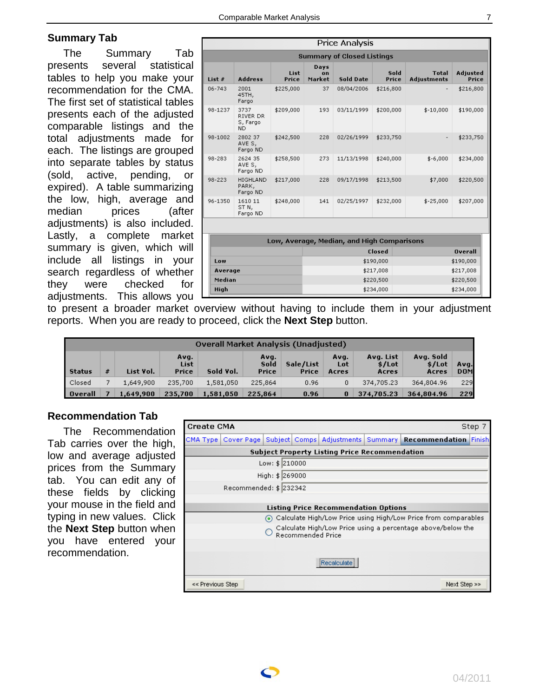# <span id="page-6-0"></span>**Summary Tab**

The Summary Tab<br>sents several statistical presents several statistical tables to help you make your recommendation for the CMA. The first set of statistical tables presents each of the adjusted comparable listings and the total adjustments made for each. The listings are grouped into separate tables by status (sold, active, pending, or expired). A table summarizing the low, high, average and median prices (after adjustments) is also included. Lastly, a complete market summary is given, which will include all listings in your search regardless of whether they were checked for adjustments. This allows you

|                | Price Analysis                            |               |                      |                                            |               |                                    |                   |  |  |  |  |
|----------------|-------------------------------------------|---------------|----------------------|--------------------------------------------|---------------|------------------------------------|-------------------|--|--|--|--|
|                |                                           |               |                      | <b>Summary of Closed Listings</b>          |               |                                    |                   |  |  |  |  |
| List #         | <b>Address</b>                            | List<br>Price | Days<br>on<br>Market | <b>Sold Date</b>                           | Sold<br>Price | <b>Total</b><br><b>Adjustments</b> | Adjusted<br>Price |  |  |  |  |
| 06-743         | 2001<br>45TH,<br>Fargo                    | \$225,000     | 37                   | 08/04/2006                                 | \$216,800     |                                    | \$216,800         |  |  |  |  |
| 98-1237        | 3737<br>RIVER DR<br>S, Fargo<br><b>ND</b> | \$209,000     | 193                  | 03/11/1999                                 | \$200,000     | \$-10,000                          | \$190,000         |  |  |  |  |
| 98-1002        | 2802 37<br>AVE S,<br>Fargo ND             | \$242,500     | 228                  | 02/26/1999                                 | \$233,750     | $\overline{\phantom{a}}$           | \$233,750         |  |  |  |  |
| 98-283         | 2624 35<br>AVE S,<br>Fargo ND             | \$258,500     | 273                  | 11/13/1998                                 | \$240,000     | $$-6,000$                          | \$234,000         |  |  |  |  |
| 98-223         | <b>HIGHLAND</b><br>PARK,<br>Fargo ND      | \$217,000     | 228                  | 09/17/1998                                 | \$213,500     | \$7,000                            | \$220,500         |  |  |  |  |
| 96-1350        | 1610 11<br>STN,<br>Fargo ND               | \$248,000     | 141                  | 02/25/1997                                 | \$232,000     | \$-25,000                          | \$207,000         |  |  |  |  |
|                |                                           |               |                      |                                            |               |                                    |                   |  |  |  |  |
|                |                                           |               |                      | Low, Average, Median, and High Comparisons |               |                                    |                   |  |  |  |  |
|                |                                           |               |                      |                                            | Closed        |                                    | <b>Overall</b>    |  |  |  |  |
| Low            |                                           |               |                      |                                            | \$190,000     |                                    | \$190,000         |  |  |  |  |
| Average        |                                           |               |                      |                                            | \$217,008     |                                    | \$217,008         |  |  |  |  |
| Median<br>High |                                           |               |                      | \$220,500<br>\$234,000                     |               | \$220,500<br>\$234,000             |                   |  |  |  |  |
|                |                                           |               |                      |                                            |               |                                    |                   |  |  |  |  |

to present a broader market overview without having to include them in your adjustment reports. When you are ready to proceed, click the **Next Step** button.

|                | <b>Overall Market Analysis (Unadjusted)</b> |           |                       |           |                       |                    |                      |                              |                              |                    |  |  |
|----------------|---------------------------------------------|-----------|-----------------------|-----------|-----------------------|--------------------|----------------------|------------------------------|------------------------------|--------------------|--|--|
| <b>Status</b>  | #                                           | List Vol. | Avg.<br>List<br>Price | Sold Vol. | Avq.<br>Sold<br>Price | Sale/List<br>Price | Avg.<br>Lot<br>Acres | Avg. List<br>\$/Lot<br>Acres | Avg. Sold<br>\$/Lot<br>Acres | Avg.<br><b>DOM</b> |  |  |
| Closed         |                                             | 1,649,900 | 235,700               | 1,581,050 | 225,864               | 0.96               | 0                    | 374,705,23                   | 364,804.96                   | 229                |  |  |
| <b>Overall</b> |                                             | 1,649,900 | 235,700               | 1,581,050 | 225,864               | 0.96               | 0                    | 374,705.23                   | 364,804.96                   | 229                |  |  |

# **Recommendation Tab**

The Recommendation Tab carries over the high, low and average adjusted prices from the Summary tab. You can edit any of these fields by clicking your mouse in the field and typing in new values. Click the **Next Step** button when you have entered your recommendation.

| <b>Create CMA</b> |                                                      |                 |                   |                                             |  | Step 7                                                                                           |  |  |  |  |
|-------------------|------------------------------------------------------|-----------------|-------------------|---------------------------------------------|--|--------------------------------------------------------------------------------------------------|--|--|--|--|
|                   |                                                      |                 |                   |                                             |  | CMA Type   Cover Page   Subject   Comps   Adjustments   Summary   <b>Recommendation</b>   Finish |  |  |  |  |
|                   | <b>Subject Property Listing Price Recommendation</b> |                 |                   |                                             |  |                                                                                                  |  |  |  |  |
|                   |                                                      | Low: \$ 210000  |                   |                                             |  |                                                                                                  |  |  |  |  |
|                   |                                                      | High: \$ 269000 |                   |                                             |  |                                                                                                  |  |  |  |  |
|                   | Recommended: $$232342$                               |                 |                   |                                             |  |                                                                                                  |  |  |  |  |
|                   |                                                      |                 |                   |                                             |  |                                                                                                  |  |  |  |  |
|                   |                                                      |                 |                   | <b>Listing Price Recommendation Options</b> |  |                                                                                                  |  |  |  |  |
|                   |                                                      |                 |                   |                                             |  | ⊙ Calculate High/Low Price using High/Low Price from comparables                                 |  |  |  |  |
|                   |                                                      |                 | Recommended Price |                                             |  | Calculate High/Low Price using a percentage above/below the                                      |  |  |  |  |
|                   |                                                      |                 |                   |                                             |  |                                                                                                  |  |  |  |  |
|                   | Recalculate                                          |                 |                   |                                             |  |                                                                                                  |  |  |  |  |
| << Previous Step  |                                                      |                 |                   |                                             |  | Next Step >>                                                                                     |  |  |  |  |